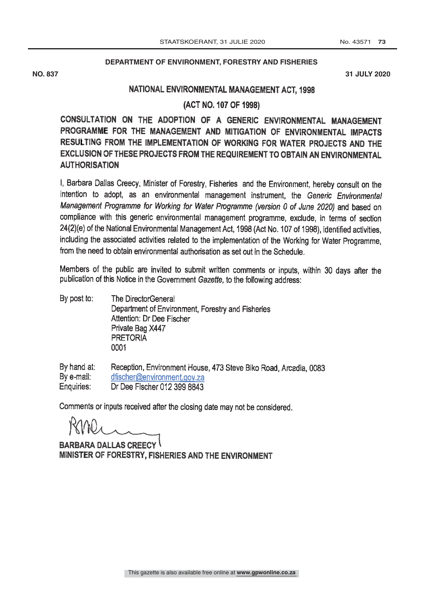## **DEPARTMENT OF ENVIRONMENT, FORESTRY AND FISHERIES**

**NO. 837 31 JULY 2020**

## NATIONAL ENVIRONMENTAL MANAGEMENT ACT, 1998

(ACT NO. 107 OF 1998)

CONSULTATION ON THE ADOPTION OF A GENERIC ENVIRONMENTAL MANAGEMENT PROGRAMME FOR THE MANAGEMENT AND MITIGATION OF ENVIRONMENTAL IMPACTS RESULTING FROM THE IMPLEMENTATION OF WORKING FOR WATER PROJECTS AND THE EXCLUSION OF THESE PROJECTS FROM THE REQUIREMENT TO OBTAIN AN ENVIRONMENTAL AUTHORISATION

I, Barbara Dallas Creecy, Minister of Forestry, Fisheries and the Environment, hereby consult on the intention to adopt, as an environmental management instrument, the Generic Environmental Management Programme for Working for Water Programme (version 0 of June 2020) and based on compliance with this generic environmental management programme, exclude, in terms of section 24(2)(e) of the National Environmental Management Act, 1998 (Act No. 107 of 1998), identified activities, including the associated activities related to the implementation of the Working for Water Programme, from the need to obtain environmental authorisation as set out in the Schedule.

Members of the public are invited to submit written comments or inputs, within 30 days after the publication of this Notice in the Government Gazette, to the following address:

By post to: The DirectorGeneral Department of Environment, Forestry and Fisheries Attention: Dr Dee Fischer Private Bag X447 **PRETORIA** 0001

By hand at: Reception, Environment House, 473 Steve Biko Road, Arcadia, 0083<br>dfischer@environment.gov.za By e-mail: Enquiries: Dr Dee Fischer 012 399 8843

Comments or inputs received after the closing date may not be considered.

BARBARA DALLAS CREECY MINISTER OF FORESTRY, FISHERIES AND THE ENVIRONMENT